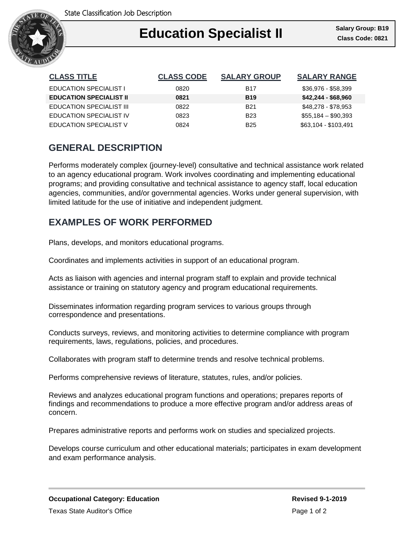

## Ι **Education Specialist II Class Code: 0821**

| <b>CLASS TITLE</b>              | <b>CLASS CODE</b> | <b>SALARY GROUP</b> | <b>SALARY RANGE</b>  |
|---------------------------------|-------------------|---------------------|----------------------|
| <b>EDUCATION SPECIALIST I</b>   | 0820              | B17                 | \$36,976 - \$58,399  |
| <b>EDUCATION SPECIALIST II</b>  | 0821              | <b>B19</b>          | $$42,244 - $68,960$  |
| <b>EDUCATION SPECIALIST III</b> | 0822              | <b>B21</b>          | \$48,278 - \$78,953  |
| <b>EDUCATION SPECIALIST IV</b>  | 0823              | <b>B23</b>          | $$55,184 - $90,393$  |
| <b>EDUCATION SPECIALIST V</b>   | 0824              | <b>B25</b>          | \$63,104 - \$103,491 |

# **GENERAL DESCRIPTION**

Performs moderately complex (journey-level) consultative and technical assistance work related to an agency educational program. Work involves coordinating and implementing educational programs; and providing consultative and technical assistance to agency staff, local education agencies, communities, and/or governmental agencies. Works under general supervision, with limited latitude for the use of initiative and independent judgment.

# **EXAMPLES OF WORK PERFORMED**

Plans, develops, and monitors educational programs.

Coordinates and implements activities in support of an educational program.

Acts as liaison with agencies and internal program staff to explain and provide technical assistance or training on statutory agency and program educational requirements.

Disseminates information regarding program services to various groups through correspondence and presentations.

Conducts surveys, reviews, and monitoring activities to determine compliance with program requirements, laws, regulations, policies, and procedures.

Collaborates with program staff to determine trends and resolve technical problems.

Performs comprehensive reviews of literature, statutes, rules, and/or policies.

Reviews and analyzes educational program functions and operations; prepares reports of findings and recommendations to produce a more effective program and/or address areas of concern.

Prepares administrative reports and performs work on studies and specialized projects.

Develops course curriculum and other educational materials; participates in exam development and exam performance analysis.